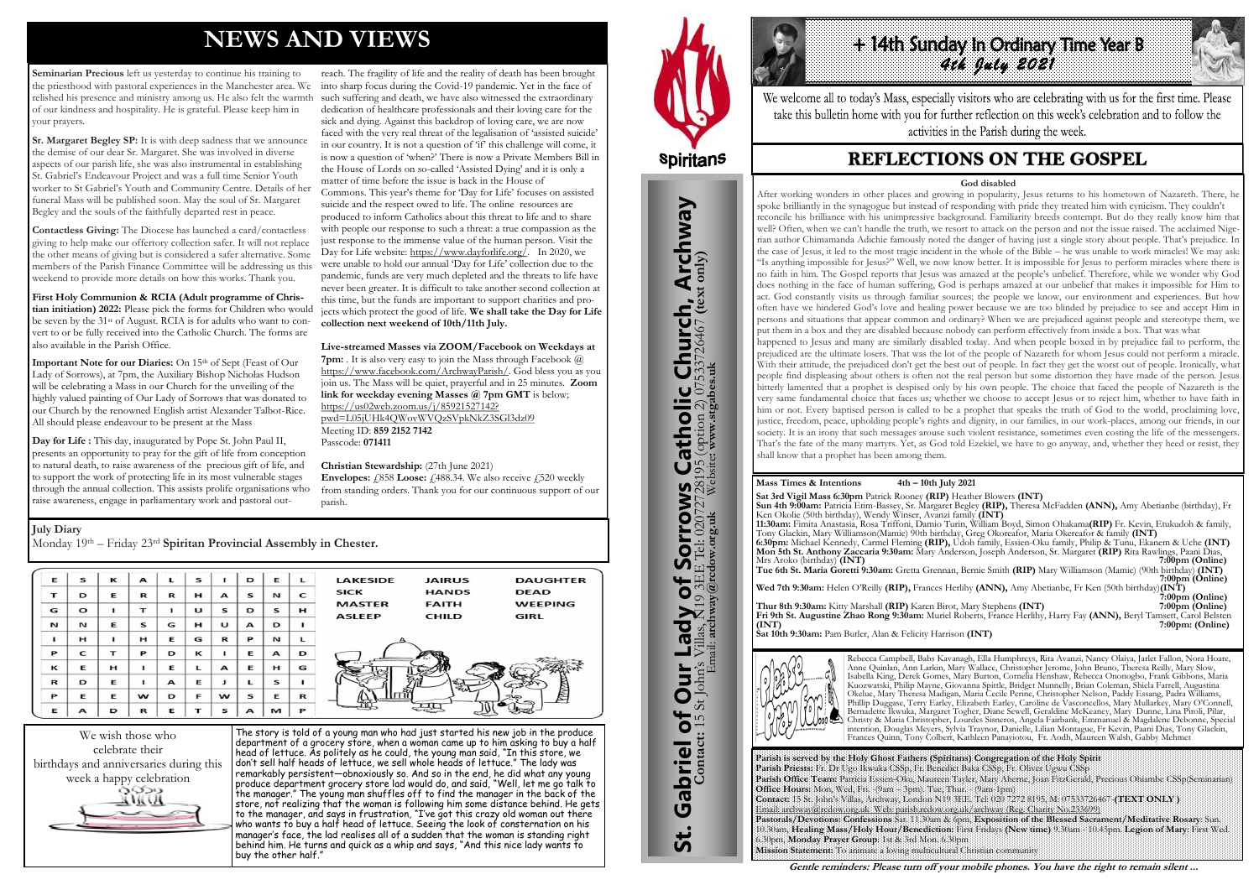# **NEWS AND VIEWS**

**Seminarian Precious** left us yesterday to continue his training to the priesthood with pastoral experiences in the Manchester area. We relished his presence and ministry among us. He also felt the warmth of our kindness and hospitality. He is grateful. Please keep him in your prayers.

**Sr. Margaret Begley SP:** It is with deep sadness that we announce the demise of our dear Sr. Margaret. She was involved in diverse aspects of our parish life, she was also instrumental in establishing St. Gabriel's Endeavour Project and was a full time Senior Youth worker to St Gabriel's Youth and Community Centre. Details of her funeral Mass will be published soon. May the soul of Sr. Margaret Begley and the souls of the faithfully departed rest in peace.

Important Note for our Diaries: On 15th of Sept (Feast of Our Lady of Sorrows), at 7pm, the Auxiliary Bishop Nicholas Hudson will be celebrating a Mass in our Church for the unveiling of the highly valued painting of Our Lady of Sorrows that was donated to our Church by the renowned English artist Alexander Talbot-Rice. All should please endeavour to be present at the Mass

**Contactless Giving:** The Diocese has launched a card/contactless giving to help make our offertory collection safer. It will not replace the other means of giving but is considered a safer alternative. Some members of the Parish Finance Committee will be addressing us this weekend to provide more details on how this works. Thank you.

**First Holy Communion & RCIA (Adult programme of Christian initiation) 2022:** Please pick the forms for Children who would be seven by the 31st of August. RCIA is for adults who want to convert to or be fully received into the Catholic Church. The forms are also available in the Parish Office.

**Day for Life :** This day, inaugurated by Pope St. John Paul II, presents an opportunity to pray for the gift of life from conception to natural death, to raise awareness of the precious gift of life, and to support the work of protecting life in its most vulnerable stages through the annual collection. This assists prolife organisations who raise awareness, engage in parliamentary work and pastoral out-

**Envelopes:**  $\text{\emph{f}}\substack{858}$  **Loose:**  $\text{\emph{f}}\substack{488.34}$ . We also receive  $\text{\emph{f}}\substack{520}$  weekly from standing orders. Thank you for our continuous support of our parish.

reach. The fragility of life and the reality of death has been brought into sharp focus during the Covid-19 pandemic. Yet in the face of such suffering and death, we have also witnessed the extraordinary dedication of healthcare professionals and their loving care for the sick and dying. Against this backdrop of loving care, we are now faced with the very real threat of the legalisation of 'assisted suicide' in our country. It is not a question of 'if' this challenge will come, it is now a question of 'when?' There is now a Private Members Bill in the House of Lords on so-called 'Assisted Dying' and it is only a matter of time before the issue is back in the House of Commons. This year's theme for 'Day for Life' focuses on assisted suicide and the respect owed to life. The online resources are produced to inform Catholics about this threat to life and to share with people our response to such a threat: a true compassion as the just response to the immense value of the human person. Visit the Day for Life website: [https://www.dayforlife.org/.](https://www.dayforlife.org/) In 2020, we were unable to hold our annual 'Day for Life' collection due to the pandemic, funds are very much depleted and the threats to life have never been greater. It is difficult to take another second collection at this time, but the funds are important to support charities and projects which protect the good of life. **We shall take the Day for Life collection next weekend of 10th/11th July.** 

> Tony Glackin, Mary Williamson(Mamie) 90th birthday, Greg Okoreafor, Maria Okereafor & family **(INT) 6:30pm:** Michael Kennedy, Carmel Fleming **(RIP),** Udoh family, Essien-Oku family, Philip & Tunu, Ekanem & Uche **(INT) Mon 5th St. Anthony Zaccaria 9:30am:** Mary Anderson, Joseph Anderson, Sr. Margaret **(RIP)** Rita Rawlings, Paani Dias, Mrs Aroko (birthday) **(INT) 7:00pm (Online) Tue 6th St. Maria Goretti 9:30am:** Gretta Grennan, Bernie Smith **(RIP)** Mary Williamson (Mamie) (90th birthday) **(INT)** *7:00pm* **(Online) 7:00pm** (Online)

#### **Live-streamed Masses via ZOOM/Facebook on Weekdays at**

**Wed 7th 9:30am:** Helen O'Reilly **(RIP),** Frances Herlihy **(ANN),** Amy Abetianbe, Fr Ken (50th birthday)**(INT)** *7:00pm (Online) <i>7* 

**7pm:** . It is also very easy to join the Mass through Facebook @ [https://www.facebook.com/ArchwayParish/.](https://www.facebook.com/ArchwayParish/) God bless you as you join us. The Mass will be quiet, prayerful and in 25 minutes. **Zoom link for weekday evening Masses @ 7pm GMT** is below; [https://us02web.zoom.us/j/85921527142?](https://us02web.zoom.us/j/85921527142?pwd=L05jUHk4QWovWVQzSVpkNkZ3SGl3dz09) [pwd=L05jUHk4QWovWVQzSVpkNkZ3SGl3dz09](https://us02web.zoom.us/j/85921527142?pwd=L05jUHk4QWovWVQzSVpkNkZ3SGl3dz09) Meeting ID: **859 2152 7142**  Passcode: **071411** 

**Christian Stewardship:** (27th June 2021)



The story is told of a young man who had just started his new job in the produce department of a grocery store, when a woman came up to him asking to buy a half head of lettuce. As politely as he could, the young man said, "In this store, we don't sell half heads of lettuce, we sell whole heads of lettuce." The lady was remarkably persistent—obnoxiously so. And so in the end, he did what any young produce department grocery store lad would do, and said, "Well, let me go talk to the manager." The young man shuffles off to find the manager in the back of the store, not realizing that the woman is following him some distance behind. He gets to the manager, and says in frustration, "I've got this crazy old woman out there who wants to buy a half head of lettuce. Seeing the look of consternation on his manager's face, the lad realises all of a sudden that the woman is standing right behind him. He turns and quick as a whip and says, "And this nice lady wants to buy the other half."



St. Gabriel of Our Lady of Sorrows Catholic Church, Archway

**Sorrows**<br>E Tel: 020727281

Our Lady of Sorrov

Gabriel of Our

<u>ჭ</u>

**IS Catholic Church, Archway**<br>28195 (option 2) 07533726467 (text only)

#### **July Diary**

Monday 19th – Friday 23rd **Spiritan Provincial Assembly in Chester.** 

| Е        | s         | $\kappa$ | $\blacktriangle$ |              | S |              | D            | Е                | $\mathbf{L}$ | <b>LAKESIDE</b><br><b>DAUGHTER</b><br><b>JAIRUS</b>                                             |
|----------|-----------|----------|------------------|--------------|---|--------------|--------------|------------------|--------------|-------------------------------------------------------------------------------------------------|
| т        | D         | Е        | R                | R            | н | $\mathbf{A}$ | s            | N                | C            | <b>DEAD</b><br><b>SICK</b><br><b>HANDS</b>                                                      |
| G        | $\bullet$ |          | т                |              | U | $\mathbf{s}$ | D            | s                | н            | <b>MASTER</b><br><b>FAITH</b><br><b>WEEPING</b><br><b>ASLEEP</b><br><b>CHILD</b><br><b>GIRL</b> |
| N        | N         | E        | S                | G            | H | U            | $\mathbf{A}$ | D                | п            |                                                                                                 |
|          | н         |          | н                | Е            | G | R            | P            | N                |              |                                                                                                 |
| P        | C         |          | P                | D            | ĸ |              | Е            | $\triangleright$ | D            |                                                                                                 |
| $\kappa$ | Е         | н        |                  | Е            | L | A            | Е            | н                | G            |                                                                                                 |
| R        | D         | Е        |                  | $\mathbf{A}$ | E | л            |              | S                |              |                                                                                                 |
| P        | Е         | Е        | w                | D            | F | $\mathbf{w}$ | S            | Е                | R            | $\epsilon_{\mu}$<br>பா                                                                          |
| E        | A         | D        | R                | Е            | т | S            | A            | M                | P            |                                                                                                 |



We welcome all to today's Mass, especially visitors who are celebrating with us for the first time. Please take this bulletin home with you for further reflection on this week's celebration and to follow the activities in the Parish during the week.

# **REFLECTIONS ON THE GOSPEL**

**Parish is served by the Holy Ghost Fathers (Spiritans) Congregation of the Holy Spirit Parish Priests:** Fr. Dr Ugo Ikwuka CSSp, Fr. Benedict Baka CSSp, Fr. Oliver Ugwu CSSp **Parish Office Team:** Patricia Essien-Oku, Maureen Tayler, Mary Aherne, Joan FitzGerald, Precious Ohiambe CSSp(Seminarian) **Office Hours:** Mon, Wed, Fri. -(9am – 3pm). Tue, Thur. - (9am-1pm) **Contact:** 15 St. John's Villas, Archway, London N19 3EE. Tel: 020 7272 8195, M: 07533726467-**(TEXT ONLY )** Email: archway@rcdow.org.uk Web: parish.rcdow.org.uk/archway (Reg. Charity No.233699) **Pastorals/Devotions: Confessions** Sat. 11.30am & 6pm, **Exposition of the Blessed Sacrament/Meditative Rosary**: Sun. 10.30am, **Healing Mass/Holy Hour/Benediction:** First Fridays **(New time)** 9.30am - 10.45pm. **Legion of Mary**: First Wed. 6.30pm, **Monday Prayer Group**: 1st & 3rd Mon. 6.30pm **Mission Statement:** To animate a loving multicultural Christian community

**Contact:** 15 St John's Villas, N19 3EE Tel: 02072728195 (option 2) 07533726467 **(text only)** Email: **archway@rcdow.org.uk** Website**: www.stgabes.uk**

#### **Mass Times & Intentions 4th – 10th July 2021**

**Sat 3rd Vigil Mass 6:30pm** Patrick Rooney **(RIP)** Heather Blowers **(INT) Sun 4th 9:00am:** Patricia Etim-Bassey, Sr. Margaret Begley **(RIP),** Theresa McFadden **(ANN),** Amy Abetianbe (birthday), Fr Ken Okolie (50th birthday), Wendy Winser, Avanzi family **(INT) 11:30am:** Fimita Anastasia, Rosa Triffoni, Damio Turin, William Boyd, Simon Ohakama**(RIP)** Fr. Kevin, Etukudoh & family,

**Thur 8th 9:30am:** Kitty Marshall **(RIP)** Karen Birot, Mary Stephens **(INT) 7:00pm (Online) Fri 9th St. Augustine Zhao Rong 9:30am:** Muriel Roberts, France Herlihy, Harry Fay **(ANN),** Beryl Tamsett, Carol Belsten **(INT) 7:00pm: (Online)** 

**Sat 10th 9:30am:** Pam Butler, Alan & Felicity Harrison **(INT)**



Rebecca Campbell, Babs Kavanagh, Ella Humphreys, Rita Avanzi, Nancy Olaiya, Jarlet Fallon, Nora Hoare, Anne Quinlan, Ann Larkin, Mary Wallace, Christopher Jerome, John Bruno, Theresa Reilly, Mary Slow, Isabella King, Derek Gomes, Mary Burton, Cornelia Henshaw, Rebecca Ononogbo, Frank Gibbons, Maria Kuozwatski, Philip Mayne, Giovanna Spittle, Bridget Munnelly, Brian Coleman, Shiela Farrell, Augustina Okelue, Mary Theresa Madigan, Maria Cecile Perine, Christopher Nelson, Paddy Essang, Padra Williams, Phillip Duggase, Terry Earley, Elizabeth Earley, Caroline de Vasconcellos, Mary Mullarkey, Mary O'Connell, Bernadette Ikwuka, Margaret Togher, Diane Sewell, Geraldine McKeaney, Mary Dunne, Lina Piroli, Pilar, Christy & Maria Christopher, Lourdes Sisneros, Angela Fairbank, Emmanuel & Magdalene Debonne, Special intention, Douglas Meyers, Sylvia Traynor, Danielle, Lilian Montague, Fr Kevin, Paani Dias, Tony Glackin, Frances Quinn, Tony Colbert, Kathleen Panayiotou, Fr. Aodh, Maureen Walsh, Gabby Mehmet

**Gentle reminders: Please turn off your mobile phones. You have the right to remain silent ...** 

#### **God disabled**

After working wonders in other places and growing in popularity, Jesus returns to his hometown of Nazareth. There, he spoke brilliantly in the synagogue but instead of responding with pride they treated him with cynicism. They couldn't reconcile his brilliance with his unimpressive background. Familiarity breeds contempt. But do they really know him that well? Often, when we can't handle the truth, we resort to attack on the person and not the issue raised. The acclaimed Nigerian author Chimamanda Adichie famously noted the danger of having just a single story about people. That's prejudice. In the case of Jesus, it led to the most tragic incident in the whole of the Bible – he was unable to work miracles! We may ask: "Is anything impossible for Jesus?" Well, we now know better. It is impossible for Jesus to perform miracles where there is no faith in him. The Gospel reports that Jesus was amazed at the people's unbelief. Therefore, while we wonder why God does nothing in the face of human suffering, God is perhaps amazed at our unbelief that makes it impossible for Him to act. God constantly visits us through familiar sources; the people we know, our environment and experiences. But how often have we hindered God's love and healing power because we are too blinded by prejudice to see and accept Him in persons and situations that appear common and ordinary? When we are prejudiced against people and stereotype them, we put them in a box and they are disabled because nobody can perform effectively from inside a box. That was what happened to Jesus and many are similarly disabled today. And when people boxed in by prejudice fail to perform, the prejudiced are the ultimate losers. That was the lot of the people of Nazareth for whom Jesus could not perform a miracle. With their attitude, the prejudiced don't get the best out of people. In fact they get the worst out of people. Ironically, what people find displeasing about others is often not the real person but some distortion they have made of the person. Jesus bitterly lamented that a prophet is despised only by his own people. The choice that faced the people of Nazareth is the very same fundamental choice that faces us; whether we choose to accept Jesus or to reject him, whether to have faith in him or not. Every baptised person is called to be a prophet that speaks the truth of God to the world, proclaiming love, justice, freedom, peace, upholding people's rights and dignity, in our families, in our work-places, among our friends, in our society. It is an irony that such messages arouse such violent resistance, sometimes even costing the life of the messengers. That's the fate of the many martyrs. Yet, as God told Ezekiel, we have to go anyway, and, whether they heed or resist, they shall know that a prophet has been among them.